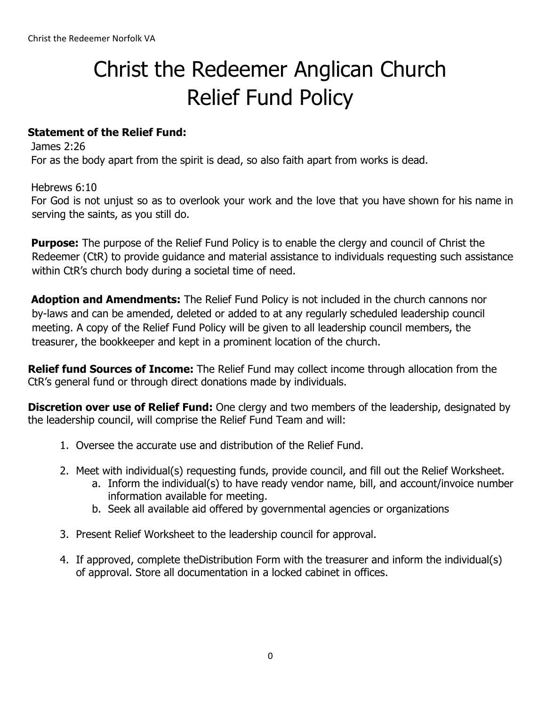# Christ the Redeemer Anglican Church Relief Fund Policy

### **Statement of the Relief Fund:**

James 2:26 For as the body apart from the spirit is dead, so also faith apart from works is dead.

Hebrews 6:10 For God is not unjust so as to overlook your work and the love that you have shown for his name in serving the saints, as you still do.

**Purpose:** The purpose of the Relief Fund Policy is to enable the clergy and council of Christ the Redeemer (CtR) to provide guidance and material assistance to individuals requesting such assistance within CtR's church body during a societal time of need.

**Adoption and Amendments:** The Relief Fund Policy is not included in the church cannons nor by-laws and can be amended, deleted or added to at any regularly scheduled leadership council meeting. A copy of the Relief Fund Policy will be given to all leadership council members, the treasurer, the bookkeeper and kept in a prominent location of the church.

**Relief fund Sources of Income:** The Relief Fund may collect income through allocation from the CtR's general fund or through direct donations made by individuals.

**Discretion over use of Relief Fund:** One clergy and two members of the leadership, designated by the leadership council, will comprise the Relief Fund Team and will:

- 1. Oversee the accurate use and distribution of the Relief Fund.
- 2. Meet with individual(s) requesting funds, provide council, and fill out the Relief Worksheet.
	- a. Inform the individual(s) to have ready vendor name, bill, and account/invoice number information available for meeting.
	- b. Seek all available aid offered by governmental agencies or organizations
- 3. Present Relief Worksheet to the leadership council for approval.
- 4. If approved, complete theDistribution Form with the treasurer and inform the individual(s) of approval. Store all documentation in a locked cabinet in offices.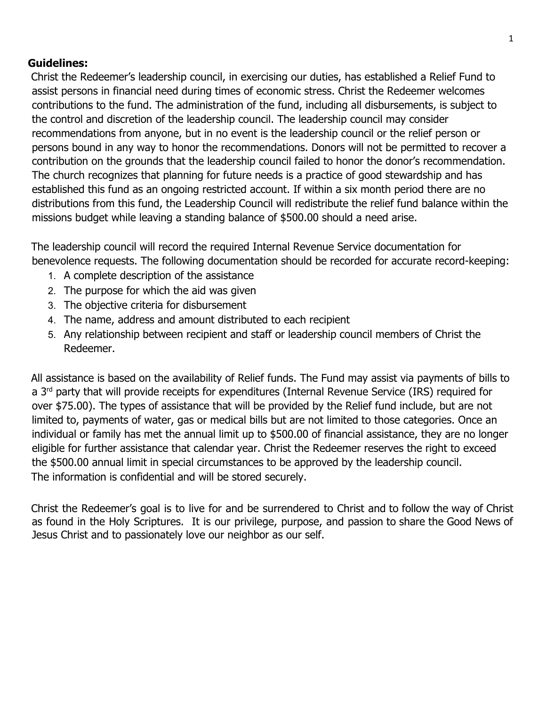#### **Guidelines:**

Christ the Redeemer's leadership council, in exercising our duties, has established a Relief Fund to assist persons in financial need during times of economic stress. Christ the Redeemer welcomes contributions to the fund. The administration of the fund, including all disbursements, is subject to the control and discretion of the leadership council. The leadership council may consider recommendations from anyone, but in no event is the leadership council or the relief person or persons bound in any way to honor the recommendations. Donors will not be permitted to recover a contribution on the grounds that the leadership council failed to honor the donor's recommendation. The church recognizes that planning for future needs is a practice of good stewardship and has established this fund as an ongoing restricted account. If within a six month period there are no distributions from this fund, the Leadership Council will redistribute the relief fund balance within the missions budget while leaving a standing balance of \$500.00 should a need arise.

The leadership council will record the required Internal Revenue Service documentation for benevolence requests. The following documentation should be recorded for accurate record-keeping:

- 1. A complete description of the assistance
- 2. The purpose for which the aid was given
- 3. The objective criteria for disbursement
- 4. The name, address and amount distributed to each recipient
- 5. Any relationship between recipient and staff or leadership council members of Christ the Redeemer.

All assistance is based on the availability of Relief funds. The Fund may assist via payments of bills to a 3<sup>rd</sup> party that will provide receipts for expenditures (Internal Revenue Service (IRS) required for over \$75.00). The types of assistance that will be provided by the Relief fund include, but are not limited to, payments of water, gas or medical bills but are not limited to those categories. Once an individual or family has met the annual limit up to \$500.00 of financial assistance, they are no longer eligible for further assistance that calendar year. Christ the Redeemer reserves the right to exceed the \$500.00 annual limit in special circumstances to be approved by the leadership council. The information is confidential and will be stored securely.

Christ the Redeemer's goal is to live for and be surrendered to Christ and to follow the way of Christ as found in the Holy Scriptures. It is our privilege, purpose, and passion to share the Good News of Jesus Christ and to passionately love our neighbor as our self.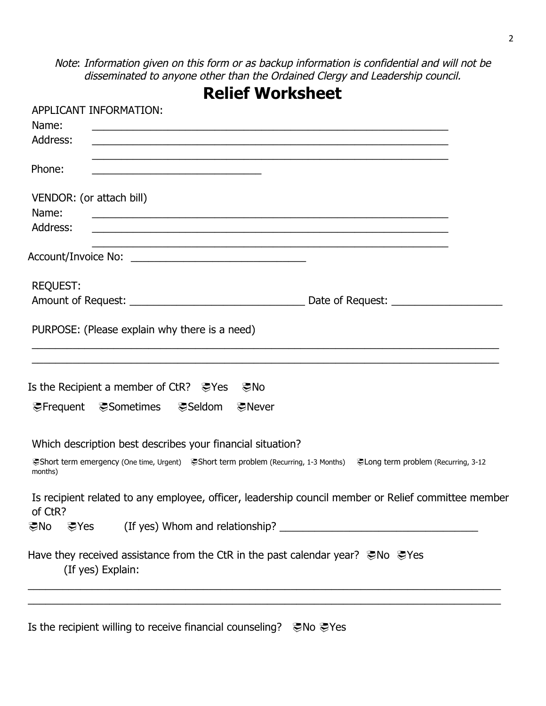Note: Information given on this form or as backup information is confidential and will not be disseminated to anyone other than the Ordained Clergy and Leadership council.

| <b>Relief Worksheet</b>                                                                                                             |  |
|-------------------------------------------------------------------------------------------------------------------------------------|--|
| APPLICANT INFORMATION:                                                                                                              |  |
| Name:                                                                                                                               |  |
| Address:                                                                                                                            |  |
| Phone:                                                                                                                              |  |
| VENDOR: (or attach bill)                                                                                                            |  |
| Name:<br>Address:<br><u> 1989 - Johann Stoff, amerikansk politiker (d. 1989)</u>                                                    |  |
|                                                                                                                                     |  |
| <b>REQUEST:</b>                                                                                                                     |  |
|                                                                                                                                     |  |
| PURPOSE: (Please explain why there is a need)                                                                                       |  |
| Is the Recipient a member of CtR? De Yes Do                                                                                         |  |
|                                                                                                                                     |  |
| Which description best describes your financial situation?                                                                          |  |
| @Short term emergency (One time, Urgent) ©Short term problem (Recurring, 1-3 Months) ©Long term problem (Recurring, 3-12<br>months) |  |
| Is recipient related to any employee, officer, leadership council member or Relief committee member<br>of CtR?                      |  |
| この ことの この おもの (If yes) Whom and relationship? __________________________________                                                    |  |
| Have they received assistance from the CtR in the past calendar year? Who WeYes<br>(If yes) Explain:                                |  |
|                                                                                                                                     |  |

Is the recipient willing to receive financial counseling? ©No Here